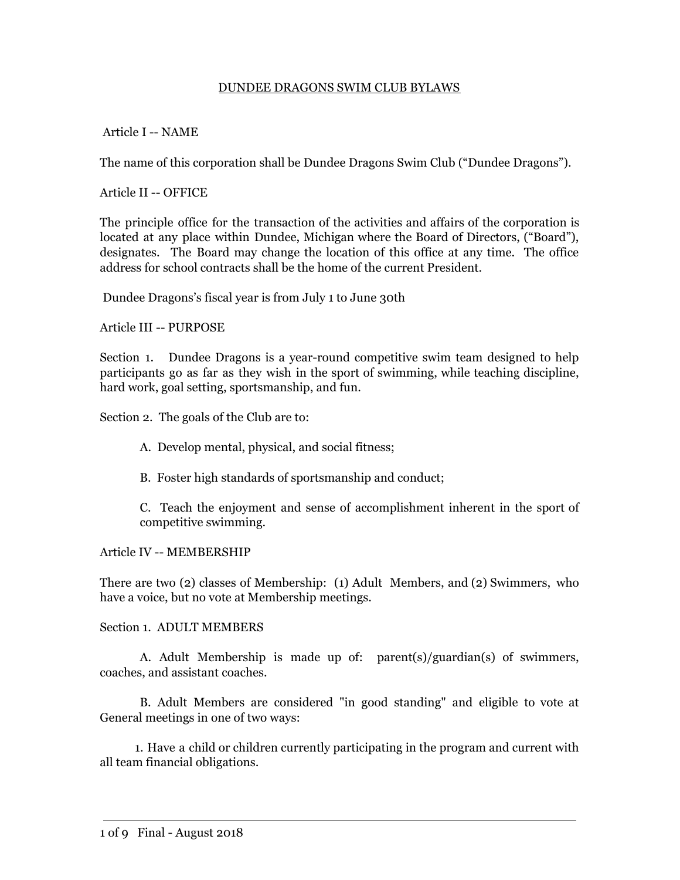### DUNDEE DRAGONS SWIM CLUB BYLAWS

### Article I -- NAME

The name of this corporation shall be Dundee Dragons Swim Club ("Dundee Dragons").

Article II -- OFFICE

The principle office for the transaction of the activities and affairs of the corporation is located at any place within Dundee, Michigan where the Board of Directors, ("Board"), designates. The Board may change the location of this office at any time. The office address for school contracts shall be the home of the current President.

Dundee Dragons's fiscal year is from July 1 to June 30th

Article III -- PURPOSE

Section 1. Dundee Dragons is a year-round competitive swim team designed to help participants go as far as they wish in the sport of swimming, while teaching discipline, hard work, goal setting, sportsmanship, and fun.

Section 2. The goals of the Club are to:

- A. Develop mental, physical, and social fitness;
- B. Foster high standards of sportsmanship and conduct;

C. Teach the enjoyment and sense of accomplishment inherent in the sport of competitive swimming.

#### Article IV -- MEMBERSHIP

There are two (2) classes of Membership: (1) Adult Members, and (2) Swimmers, who have a voice, but no vote at Membership meetings.

#### Section 1. ADULT MEMBERS

A. Adult Membership is made up of: parent(s)/guardian(s) of swimmers, coaches, and assistant coaches.

B. Adult Members are considered "in good standing" and eligible to vote at General meetings in one of two ways:

1. Have a child or children currently participating in the program and current with all team financial obligations.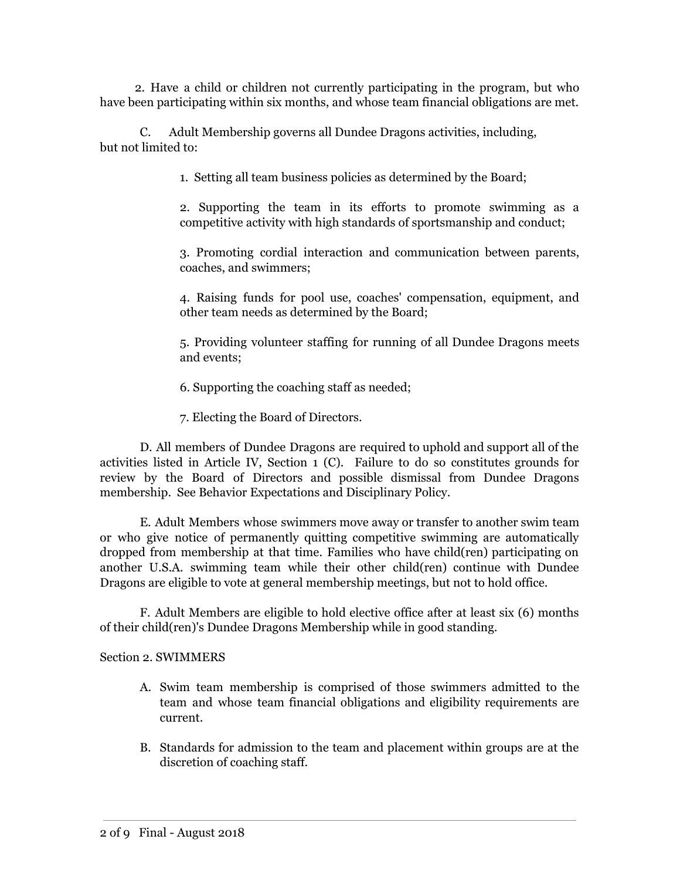2. Have a child or children not currently participating in the program, but who have been participating within six months, and whose team financial obligations are met.

C. Adult Membership governs all Dundee Dragons activities, including, but not limited to:

1. Setting all team business policies as determined by the Board;

2. Supporting the team in its efforts to promote swimming as a competitive activity with high standards of sportsmanship and conduct;

3. Promoting cordial interaction and communication between parents, coaches, and swimmers;

4. Raising funds for pool use, coaches' compensation, equipment, and other team needs as determined by the Board;

5. Providing volunteer staffing for running of all Dundee Dragons meets and events;

6. Supporting the coaching staff as needed;

7. Electing the Board of Directors.

D. All members of Dundee Dragons are required to uphold and support all of the activities listed in Article IV, Section 1 (C). Failure to do so constitutes grounds for review by the Board of Directors and possible dismissal from Dundee Dragons membership. See Behavior Expectations and Disciplinary Policy.

E. Adult Members whose swimmers move away or transfer to another swim team or who give notice of permanently quitting competitive swimming are automatically dropped from membership at that time. Families who have child(ren) participating on another U.S.A. swimming team while their other child(ren) continue with Dundee Dragons are eligible to vote at general membership meetings, but not to hold office.

F. Adult Members are eligible to hold elective office after at least six (6) months of their child(ren)'s Dundee Dragons Membership while in good standing.

#### Section 2. SWIMMERS

- A. Swim team membership is comprised of those swimmers admitted to the team and whose team financial obligations and eligibility requirements are current.
- B. Standards for admission to the team and placement within groups are at the discretion of coaching staff.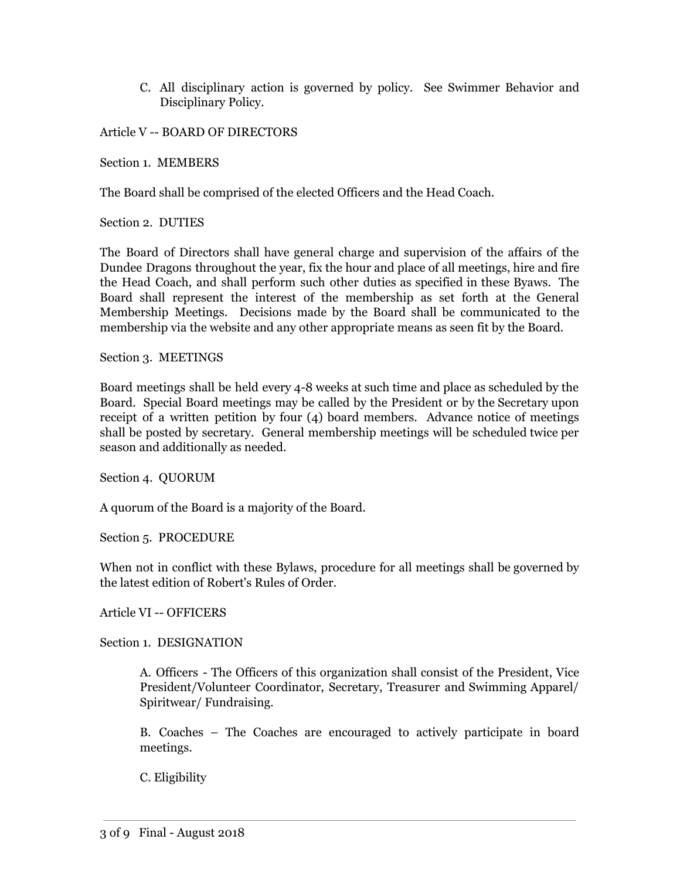C. All disciplinary action is governed by policy. See Swimmer Behavior and Disciplinary Policy.

Article V -- BOARD OF DIRECTORS

Section 1. MEMBERS

The Board shall be comprised of the elected Officers and the Head Coach.

Section 2. DUTIES

The Board of Directors shall have general charge and supervision of the affairs of the Dundee Dragons throughout the year, fix the hour and place of all meetings, hire and fire the Head Coach, and shall perform such other duties as specified in these Byaws. The Board shall represent the interest of the membership as set forth at the General Membership Meetings. Decisions made by the Board shall be communicated to the membership via the website and any other appropriate means as seen fit by the Board.

Section 3. MEETINGS

Board meetings shall be held every 4-8 weeks at such time and place as scheduled by the Board. Special Board meetings may be called by the President or by the Secretary upon receipt of a written petition by four (4) board members. Advance notice of meetings shall be posted by secretary. General membership meetings will be scheduled twice per season and additionally as needed.

Section 4. QUORUM

A quorum of the Board is a majority of the Board.

Section 5. PROCEDURE

When not in conflict with these Bylaws, procedure for all meetings shall be governed by the latest edition of Robert's Rules of Order.

Article VI -- OFFICERS

Section 1. DESIGNATION

A. Officers - The Officers of this organization shall consist of the President, Vice President/Volunteer Coordinator, Secretary, Treasurer and Swimming Apparel/ Spiritwear/ Fundraising.

B. Coaches – The Coaches are encouraged to actively participate in board meetings.

C. Eligibility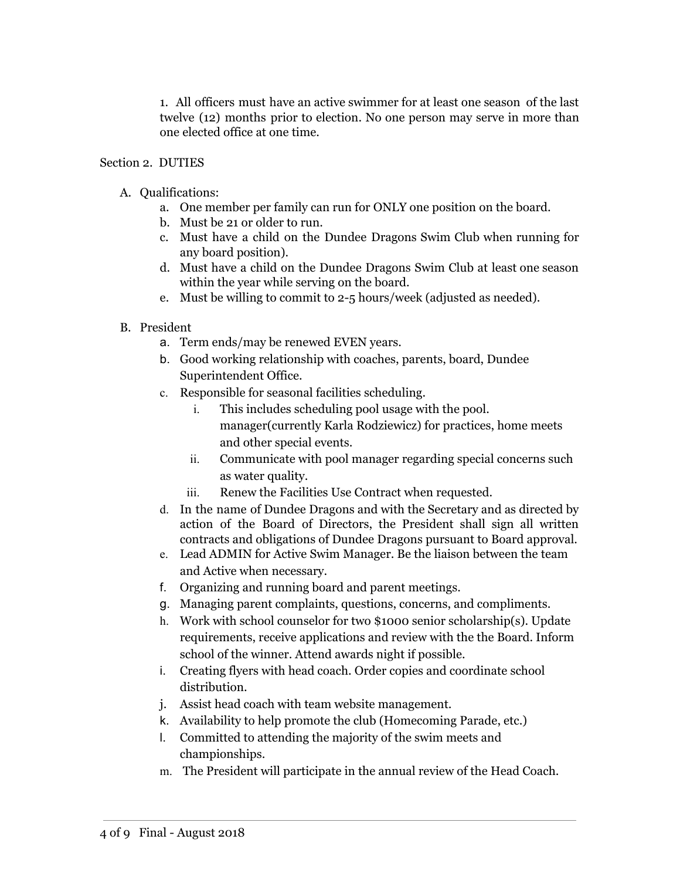1. All officers must have an active swimmer for at least one season of the last twelve (12) months prior to election. No one person may serve in more than one elected office at one time.

### Section 2. DUTIES

### A. Qualifications:

- a. One member per family can run for ONLY one position on the board.
- b. Must be 21 or older to run.
- c. Must have a child on the Dundee Dragons Swim Club when running for any board position).
- d. Must have a child on the Dundee Dragons Swim Club at least one season within the year while serving on the board.
- e. Must be willing to commit to 2-5 hours/week (adjusted as needed).
- B. President
	- a. Term ends/may be renewed EVEN years.
	- b. Good working relationship with coaches, parents, board, Dundee Superintendent Office.
	- c. Responsible for seasonal facilities scheduling.
		- i. This includes scheduling pool usage with the pool. manager(currently Karla Rodziewicz) for practices, home meets and other special events.
		- ii. Communicate with pool manager regarding special concerns such as water quality.
		- iii. Renew the Facilities Use Contract when requested.
	- d. In the name of Dundee Dragons and with the Secretary and as directed by action of the Board of Directors, the President shall sign all written contracts and obligations of Dundee Dragons pursuant to Board approval.
	- e. Lead ADMIN for Active Swim Manager. Be the liaison between the team and Active when necessary.
	- f. Organizing and running board and parent meetings.
	- g. Managing parent complaints, questions, concerns, and compliments.
	- h. Work with school counselor for two \$1000 senior scholarship(s). Update requirements, receive applications and review with the the Board. Inform school of the winner. Attend awards night if possible.
	- i. Creating flyers with head coach. Order copies and coordinate school distribution.
	- j. Assist head coach with team website management.
	- k. Availability to help promote the club (Homecoming Parade, etc.)
	- l. Committed to attending the majority of the swim meets and championships.
	- m. The President will participate in the annual review of the Head Coach.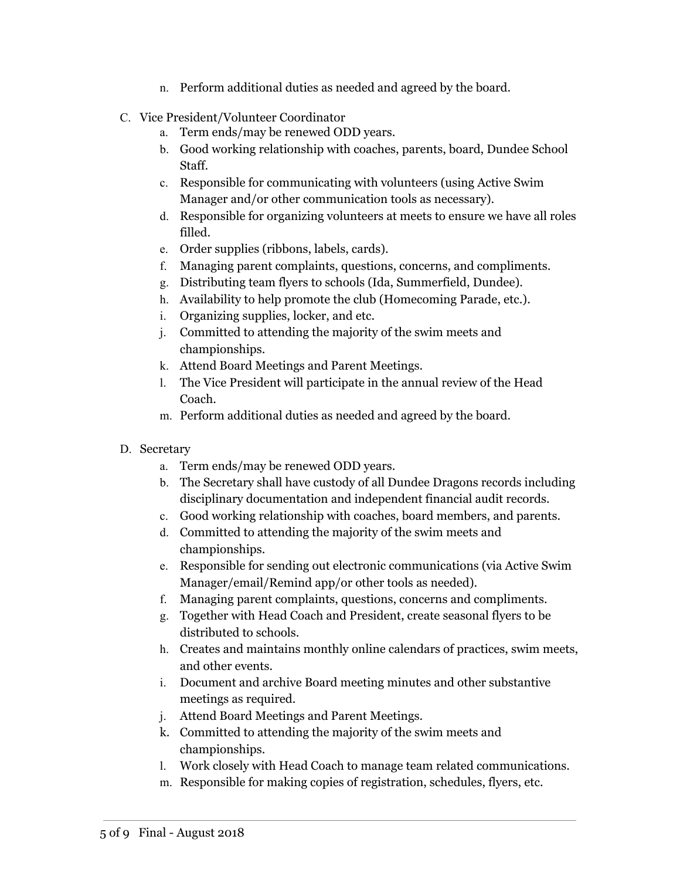- n. Perform additional duties as needed and agreed by the board.
- C. Vice President/Volunteer Coordinator
	- a. Term ends/may be renewed ODD years.
	- b. Good working relationship with coaches, parents, board, Dundee School Staff.
	- c. Responsible for communicating with volunteers (using Active Swim Manager and/or other communication tools as necessary).
	- d. Responsible for organizing volunteers at meets to ensure we have all roles filled.
	- e. Order supplies (ribbons, labels, cards).
	- f. Managing parent complaints, questions, concerns, and compliments.
	- g. Distributing team flyers to schools (Ida, Summerfield, Dundee).
	- h. Availability to help promote the club (Homecoming Parade, etc.).
	- i. Organizing supplies, locker, and etc.
	- j. Committed to attending the majority of the swim meets and championships.
	- k. Attend Board Meetings and Parent Meetings.
	- l. The Vice President will participate in the annual review of the Head Coach.
	- m. Perform additional duties as needed and agreed by the board.
- D. Secretary
	- a. Term ends/may be renewed ODD years.
	- b. The Secretary shall have custody of all Dundee Dragons records including disciplinary documentation and independent financial audit records.
	- c. Good working relationship with coaches, board members, and parents.
	- d. Committed to attending the majority of the swim meets and championships.
	- e. Responsible for sending out electronic communications (via Active Swim Manager/email/Remind app/or other tools as needed).
	- f. Managing parent complaints, questions, concerns and compliments.
	- g. Together with Head Coach and President, create seasonal flyers to be distributed to schools.
	- h. Creates and maintains monthly online calendars of practices, swim meets, and other events.
	- i. Document and archive Board meeting minutes and other substantive meetings as required.
	- j. Attend Board Meetings and Parent Meetings.
	- k. Committed to attending the majority of the swim meets and championships.
	- l. Work closely with Head Coach to manage team related communications.
	- m. Responsible for making copies of registration, schedules, flyers, etc.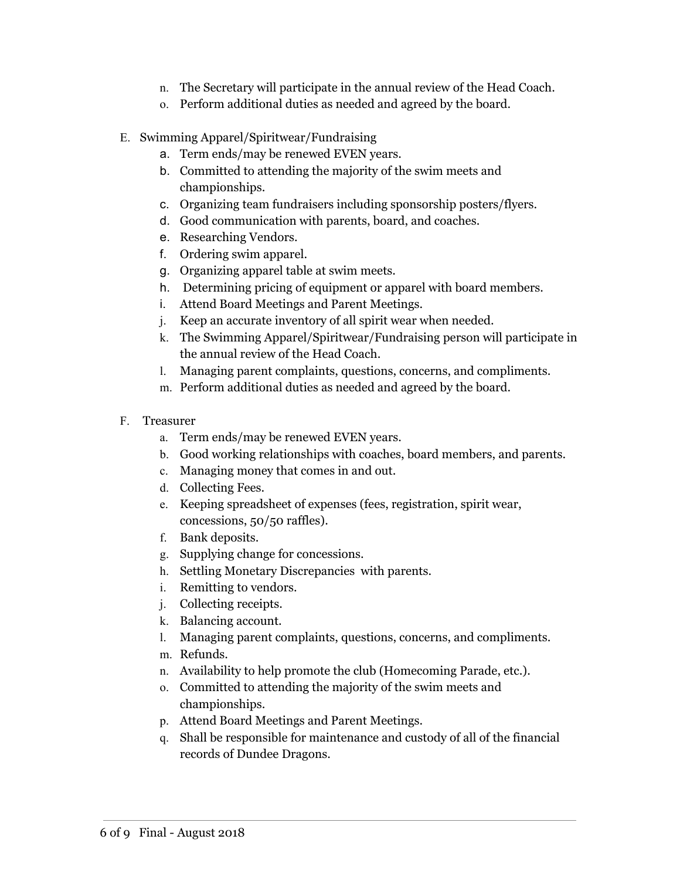- n. The Secretary will participate in the annual review of the Head Coach.
- o. Perform additional duties as needed and agreed by the board.
- E. Swimming Apparel/Spiritwear/Fundraising
	- a. Term ends/may be renewed EVEN years.
	- b. Committed to attending the majority of the swim meets and championships.
	- c. Organizing team fundraisers including sponsorship posters/flyers.
	- d. Good communication with parents, board, and coaches.
	- e. Researching Vendors.
	- f. Ordering swim apparel.
	- g. Organizing apparel table at swim meets.
	- h. Determining pricing of equipment or apparel with board members.
	- i. Attend Board Meetings and Parent Meetings.
	- j. Keep an accurate inventory of all spirit wear when needed.
	- k. The Swimming Apparel/Spiritwear/Fundraising person will participate in the annual review of the Head Coach.
	- l. Managing parent complaints, questions, concerns, and compliments.
	- m. Perform additional duties as needed and agreed by the board.
- F. Treasurer
	- a. Term ends/may be renewed EVEN years.
	- b. Good working relationships with coaches, board members, and parents.
	- c. Managing money that comes in and out.
	- d. Collecting Fees.
	- e. Keeping spreadsheet of expenses (fees, registration, spirit wear, concessions, 50/50 raffles).
	- f. Bank deposits.
	- g. Supplying change for concessions.
	- h. Settling Monetary Discrepancies with parents.
	- i. Remitting to vendors.
	- j. Collecting receipts.
	- k. Balancing account.
	- l. Managing parent complaints, questions, concerns, and compliments.
	- m. Refunds.
	- n. Availability to help promote the club (Homecoming Parade, etc.).
	- o. Committed to attending the majority of the swim meets and championships.
	- p. Attend Board Meetings and Parent Meetings.
	- q. Shall be responsible for maintenance and custody of all of the financial records of Dundee Dragons.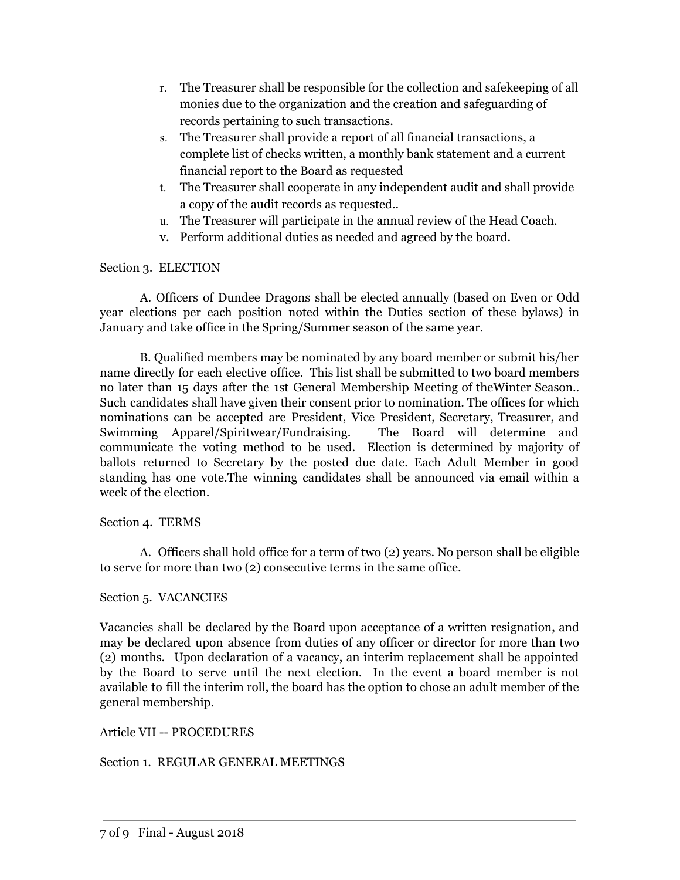- r. The Treasurer shall be responsible for the collection and safekeeping of all monies due to the organization and the creation and safeguarding of records pertaining to such transactions.
- s. The Treasurer shall provide a report of all financial transactions, a complete list of checks written, a monthly bank statement and a current financial report to the Board as requested
- t. The Treasurer shall cooperate in any independent audit and shall provide a copy of the audit records as requested..
- u. The Treasurer will participate in the annual review of the Head Coach.
- v. Perform additional duties as needed and agreed by the board.

# Section 3. ELECTION

A. Officers of Dundee Dragons shall be elected annually (based on Even or Odd year elections per each position noted within the Duties section of these bylaws) in January and take office in the Spring/Summer season of the same year.

B. Qualified members may be nominated by any board member or submit his/her name directly for each elective office. This list shall be submitted to two board members no later than 15 days after the 1st General Membership Meeting of theWinter Season.. Such candidates shall have given their consent prior to nomination. The offices for which nominations can be accepted are President, Vice President, Secretary, Treasurer, and Swimming Apparel/Spiritwear/Fundraising. The Board will determine and communicate the voting method to be used. Election is determined by majority of ballots returned to Secretary by the posted due date. Each Adult Member in good standing has one vote.The winning candidates shall be announced via email within a week of the election.

# Section 4. TERMS

A. Officers shall hold office for a term of two (2) years. No person shall be eligible to serve for more than two (2) consecutive terms in the same office.

# Section 5. VACANCIES

Vacancies shall be declared by the Board upon acceptance of a written resignation, and may be declared upon absence from duties of any officer or director for more than two (2) months. Upon declaration of a vacancy, an interim replacement shall be appointed by the Board to serve until the next election. In the event a board member is not available to fill the interim roll, the board has the option to chose an adult member of the general membership.

### Article VII -- PROCEDURES

# Section 1. REGULAR GENERAL MEETINGS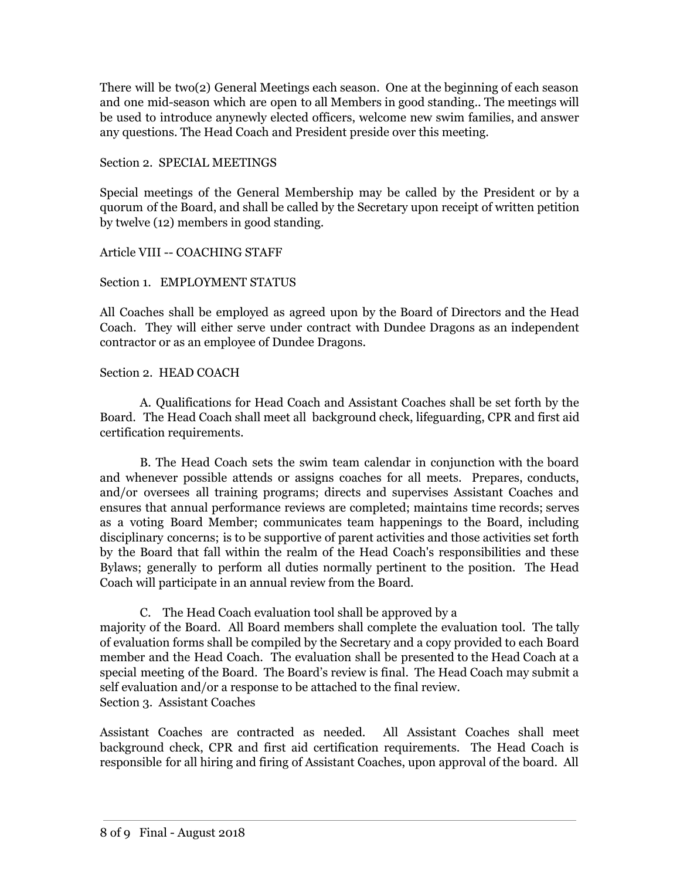There will be two(2) General Meetings each season. One at the beginning of each season and one mid-season which are open to all Members in good standing.. The meetings will be used to introduce anynewly elected officers, welcome new swim families, and answer any questions. The Head Coach and President preside over this meeting.

Section 2. SPECIAL MEETINGS

Special meetings of the General Membership may be called by the President or by a quorum of the Board, and shall be called by the Secretary upon receipt of written petition by twelve (12) members in good standing.

Article VIII -- COACHING STAFF

### Section 1. EMPLOYMENT STATUS

All Coaches shall be employed as agreed upon by the Board of Directors and the Head Coach. They will either serve under contract with Dundee Dragons as an independent contractor or as an employee of Dundee Dragons.

# Section 2. HEAD COACH

A. Qualifications for Head Coach and Assistant Coaches shall be set forth by the Board. The Head Coach shall meet all background check, lifeguarding, CPR and first aid certification requirements.

B. The Head Coach sets the swim team calendar in conjunction with the board and whenever possible attends or assigns coaches for all meets. Prepares, conducts, and/or oversees all training programs; directs and supervises Assistant Coaches and ensures that annual performance reviews are completed; maintains time records; serves as a voting Board Member; communicates team happenings to the Board, including disciplinary concerns; is to be supportive of parent activities and those activities set forth by the Board that fall within the realm of the Head Coach's responsibilities and these Bylaws; generally to perform all duties normally pertinent to the position. The Head Coach will participate in an annual review from the Board.

C. The Head Coach evaluation tool shall be approved by a majority of the Board. All Board members shall complete the evaluation tool. The tally of evaluation forms shall be compiled by the Secretary and a copy provided to each Board member and the Head Coach. The evaluation shall be presented to the Head Coach at a special meeting of the Board. The Board's review is final. The Head Coach may submit a self evaluation and/or a response to be attached to the final review. Section 3. Assistant Coaches

Assistant Coaches are contracted as needed. All Assistant Coaches shall meet background check, CPR and first aid certification requirements. The Head Coach is responsible for all hiring and firing of Assistant Coaches, upon approval of the board. All